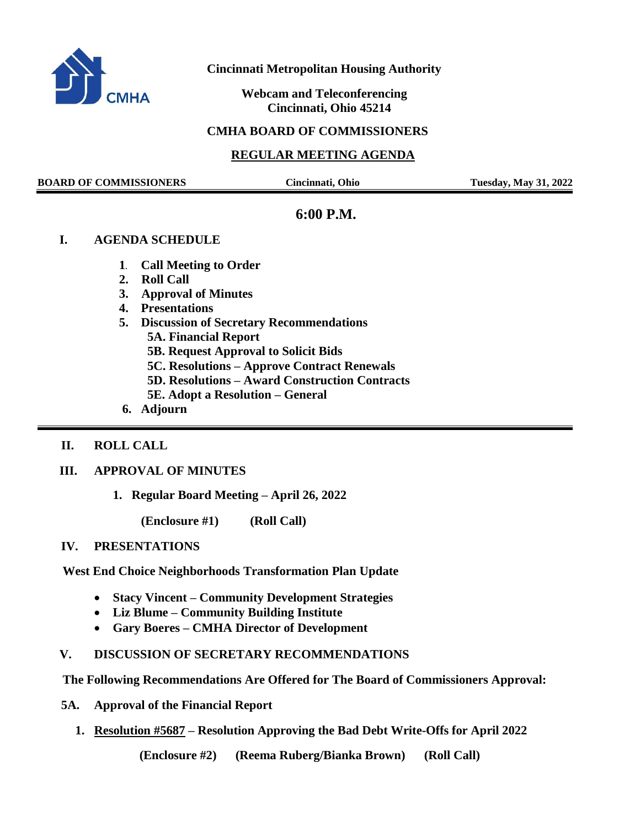

## **Cincinnati Metropolitan Housing Authority**

 **Webcam and Teleconferencing Cincinnati, Ohio 45214**

## **CMHA BOARD OF COMMISSIONERS**

## **REGULAR MEETING AGENDA**

**BOARD OF COMMISSIONERS Cincinnati, Ohio Tuesday, May 31, 2022**

## **6:00 P.M.**

#### **I. AGENDA SCHEDULE**

- **1. Call Meeting to Order**
- **2. Roll Call**
- **3. Approval of Minutes**
- **4. Presentations**
- **5. Discussion of Secretary Recommendations**

 **5A. Financial Report** 

 **5B. Request Approval to Solicit Bids**

 **5C. Resolutions – Approve Contract Renewals**

 **5D. Resolutions – Award Construction Contracts**

- **5E. Adopt a Resolution – General**
- **6. Adjourn**

#### **II. ROLL CALL**

### **III. APPROVAL OF MINUTES**

**1. Regular Board Meeting – April 26, 2022**

**(Enclosure #1) (Roll Call)** 

#### **IV. PRESENTATIONS**

 **West End Choice Neighborhoods Transformation Plan Update**

- **Stacy Vincent – Community Development Strategies**
- **Liz Blume – Community Building Institute**
- **Gary Boeres – CMHA Director of Development**
- **V. DISCUSSION OF SECRETARY RECOMMENDATIONS**

 **The Following Recommendations Are Offered for The Board of Commissioners Approval:**

- **5A. Approval of the Financial Report** 
	- **1. Resolution #5687 – Resolution Approving the Bad Debt Write-Offs for April 2022**

**(Enclosure #2) (Reema Ruberg/Bianka Brown) (Roll Call)**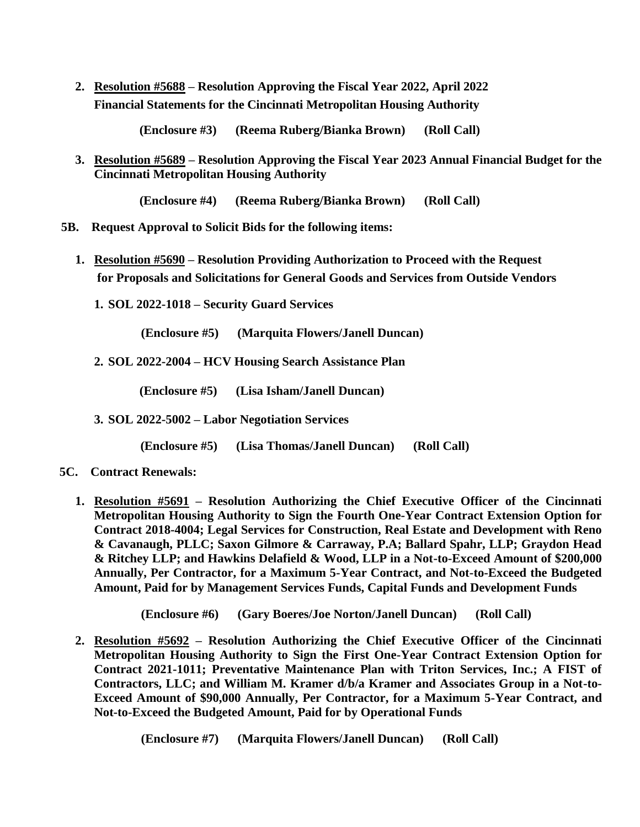**2. Resolution #5688 – Resolution Approving the Fiscal Year 2022, April 2022 Financial Statements for the Cincinnati Metropolitan Housing Authority**

**(Enclosure #3) (Reema Ruberg/Bianka Brown) (Roll Call)**

**3. Resolution #5689 – Resolution Approving the Fiscal Year 2023 Annual Financial Budget for the Cincinnati Metropolitan Housing Authority**

**(Enclosure #4) (Reema Ruberg/Bianka Brown) (Roll Call)**

- **5B. Request Approval to Solicit Bids for the following items:** 
	- **1. Resolution #5690 – Resolution Providing Authorization to Proceed with the Request for Proposals and Solicitations for General Goods and Services from Outside Vendors**
		- **1. SOL 2022-1018 – Security Guard Services**

 **(Enclosure #5) (Marquita Flowers/Janell Duncan)**

**2. SOL 2022-2004 – HCV Housing Search Assistance Plan**

 **(Enclosure #5) (Lisa Isham/Janell Duncan)**

**3. SOL 2022-5002 – Labor Negotiation Services**

 **(Enclosure #5) (Lisa Thomas/Janell Duncan) (Roll Call)** 

- **5C. Contract Renewals:**
	- **1. Resolution #5691 – Resolution Authorizing the Chief Executive Officer of the Cincinnati Metropolitan Housing Authority to Sign the Fourth One-Year Contract Extension Option for Contract 2018-4004; Legal Services for Construction, Real Estate and Development with Reno & Cavanaugh, PLLC; Saxon Gilmore & Carraway, P.A; Ballard Spahr, LLP; Graydon Head & Ritchey LLP; and Hawkins Delafield & Wood, LLP in a Not-to-Exceed Amount of \$200,000 Annually, Per Contractor, for a Maximum 5-Year Contract, and Not-to-Exceed the Budgeted Amount, Paid for by Management Services Funds, Capital Funds and Development Funds**

**(Enclosure #6) (Gary Boeres/Joe Norton/Janell Duncan) (Roll Call)**

**2. Resolution #5692 – Resolution Authorizing the Chief Executive Officer of the Cincinnati Metropolitan Housing Authority to Sign the First One-Year Contract Extension Option for Contract 2021-1011; Preventative Maintenance Plan with Triton Services, Inc.; A FIST of Contractors, LLC; and William M. Kramer d/b/a Kramer and Associates Group in a Not-to-Exceed Amount of \$90,000 Annually, Per Contractor, for a Maximum 5-Year Contract, and Not-to-Exceed the Budgeted Amount, Paid for by Operational Funds**

 **(Enclosure #7) (Marquita Flowers/Janell Duncan) (Roll Call)**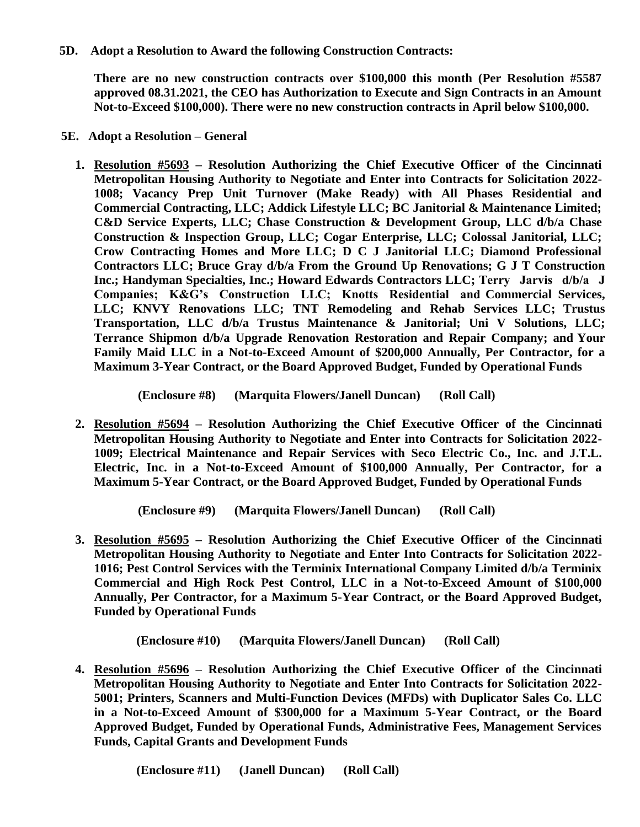**5D. Adopt a Resolution to Award the following Construction Contracts:**

**There are no new construction contracts over \$100,000 this month (Per Resolution #5587 approved 08.31.2021, the CEO has Authorization to Execute and Sign Contracts in an Amount Not-to-Exceed \$100,000). There were no new construction contracts in April below \$100,000.**

- **5E. Adopt a Resolution – General**
	- **1. Resolution #5693 – Resolution Authorizing the Chief Executive Officer of the Cincinnati Metropolitan Housing Authority to Negotiate and Enter into Contracts for Solicitation 2022- 1008; Vacancy Prep Unit Turnover (Make Ready) with All Phases Residential and Commercial Contracting, LLC; Addick Lifestyle LLC; BC Janitorial & Maintenance Limited; C&D Service Experts, LLC; Chase Construction & Development Group, LLC d/b/a Chase Construction & Inspection Group, LLC; Cogar Enterprise, LLC; Colossal Janitorial, LLC; Crow Contracting Homes and More LLC; D C J Janitorial LLC; Diamond Professional Contractors LLC; Bruce Gray d/b/a From the Ground Up Renovations; G J T Construction Inc.; Handyman Specialties, Inc.; Howard Edwards Contractors LLC; Terry Jarvis d/b/a J Companies; K&G's Construction LLC; Knotts Residential and Commercial Services, LLC; KNVY Renovations LLC; TNT Remodeling and Rehab Services LLC; Trustus Transportation, LLC d/b/a Trustus Maintenance & Janitorial; Uni V Solutions, LLC; Terrance Shipmon d/b/a Upgrade Renovation Restoration and Repair Company; and Your Family Maid LLC in a Not-to-Exceed Amount of \$200,000 Annually, Per Contractor, for a Maximum 3-Year Contract, or the Board Approved Budget, Funded by Operational Funds**

 **(Enclosure #8) (Marquita Flowers/Janell Duncan) (Roll Call)**

**2. Resolution #5694 – Resolution Authorizing the Chief Executive Officer of the Cincinnati Metropolitan Housing Authority to Negotiate and Enter into Contracts for Solicitation 2022- 1009; Electrical Maintenance and Repair Services with Seco Electric Co., Inc. and J.T.L. Electric, Inc. in a Not-to-Exceed Amount of \$100,000 Annually, Per Contractor, for a Maximum 5-Year Contract, or the Board Approved Budget, Funded by Operational Funds**

 **(Enclosure #9) (Marquita Flowers/Janell Duncan) (Roll Call)**

**3. Resolution #5695 – Resolution Authorizing the Chief Executive Officer of the Cincinnati Metropolitan Housing Authority to Negotiate and Enter Into Contracts for Solicitation 2022- 1016; Pest Control Services with the Terminix International Company Limited d/b/a Terminix Commercial and High Rock Pest Control, LLC in a Not-to-Exceed Amount of \$100,000 Annually, Per Contractor, for a Maximum 5-Year Contract, or the Board Approved Budget, Funded by Operational Funds**

 **(Enclosure #10) (Marquita Flowers/Janell Duncan) (Roll Call)**

**4. Resolution #5696 – Resolution Authorizing the Chief Executive Officer of the Cincinnati Metropolitan Housing Authority to Negotiate and Enter Into Contracts for Solicitation 2022- 5001; Printers, Scanners and Multi-Function Devices (MFDs) with Duplicator Sales Co. LLC in a Not-to-Exceed Amount of \$300,000 for a Maximum 5-Year Contract, or the Board Approved Budget, Funded by Operational Funds, Administrative Fees, Management Services Funds, Capital Grants and Development Funds**

 **(Enclosure #11) (Janell Duncan) (Roll Call)**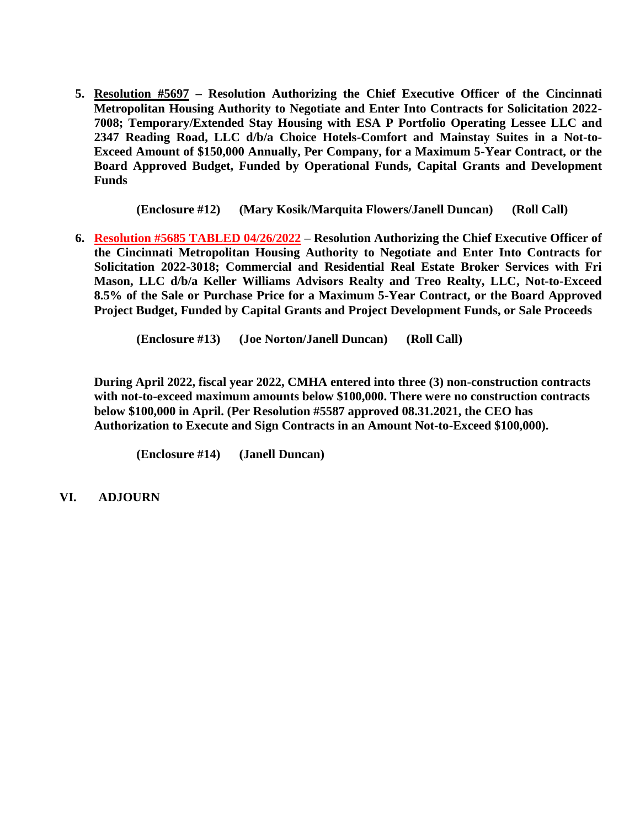**5. Resolution #5697 – Resolution Authorizing the Chief Executive Officer of the Cincinnati Metropolitan Housing Authority to Negotiate and Enter Into Contracts for Solicitation 2022- 7008; Temporary/Extended Stay Housing with ESA P Portfolio Operating Lessee LLC and 2347 Reading Road, LLC d/b/a Choice Hotels-Comfort and Mainstay Suites in a Not-to-Exceed Amount of \$150,000 Annually, Per Company, for a Maximum 5-Year Contract, or the Board Approved Budget, Funded by Operational Funds, Capital Grants and Development Funds**

 **(Enclosure #12) (Mary Kosik/Marquita Flowers/Janell Duncan) (Roll Call)**

**6. Resolution #5685 TABLED 04/26/2022 – Resolution Authorizing the Chief Executive Officer of the Cincinnati Metropolitan Housing Authority to Negotiate and Enter Into Contracts for Solicitation 2022-3018; Commercial and Residential Real Estate Broker Services with Fri Mason, LLC d/b/a Keller Williams Advisors Realty and Treo Realty, LLC, Not-to-Exceed 8.5% of the Sale or Purchase Price for a Maximum 5-Year Contract, or the Board Approved Project Budget, Funded by Capital Grants and Project Development Funds, or Sale Proceeds**

 **(Enclosure #13) (Joe Norton/Janell Duncan) (Roll Call)**

**During April 2022, fiscal year 2022, CMHA entered into three (3) non-construction contracts with not-to-exceed maximum amounts below \$100,000. There were no construction contracts below \$100,000 in April. (Per Resolution #5587 approved 08.31.2021, the CEO has Authorization to Execute and Sign Contracts in an Amount Not-to-Exceed \$100,000).**

**(Enclosure #14) (Janell Duncan)** 

 **VI. ADJOURN**